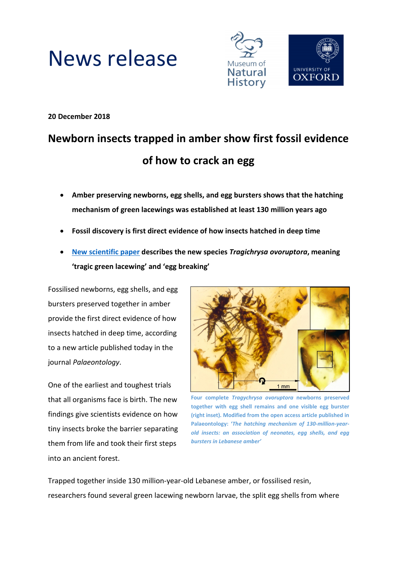



**20 December 2018**

# **Newborn insects trapped in amber show first fossil evidence of how to crack an egg**

- **Amber preserving newborns, egg shells, and egg bursters shows that the hatching mechanism of green lacewings was established at least 130 million years ago**
- **Fossil discovery is first direct evidence of how insects hatched in deep time**
- **[New scientific paper](https://doi.org/10.1111/pala.12414) describes the new species** *Tragichrysa ovoruptora***, meaning 'tragic green lacewing' and 'egg breaking'**

Fossilised newborns, egg shells, and egg bursters preserved together in amber provide the first direct evidence of how insects hatched in deep time, according to a new article published today in the journal *Palaeontology*.

One of the earliest and toughest trials that all organisms face is birth. The new findings give scientists evidence on how tiny insects broke the barrier separating them from life and took their first steps into an ancient forest.



**Four complete** *Tragychrysa ovoruptora* **newborns preserved together with egg shell remains and one visible egg burster (right inset). Modified from the open access article published in Palaeontology: '***The hatching mechanism of 130-million-yearold insects: an association of neonates, egg shells, and egg bursters in Lebanese amber'*

Trapped together inside 130 million-year-old Lebanese amber, or fossilised resin, researchers found several green lacewing newborn larvae, the split egg shells from where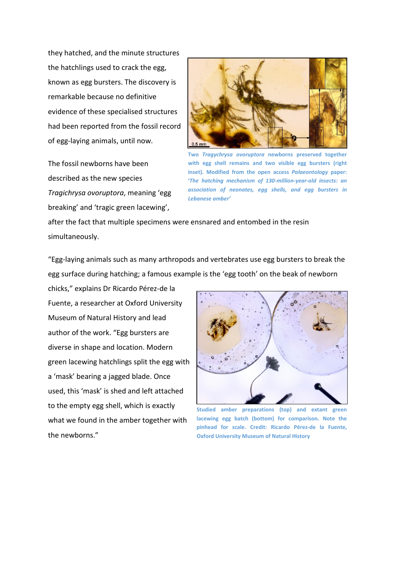they hatched, and the minute structures the hatchlings used to crack the egg, known as egg bursters. The discovery is remarkable because no definitive evidence of these specialised structures had been reported from the fossil record of egg-laying animals, until now.

The fossil newborns have been described as the new species *Tragichrysa ovoruptora*, meaning 'egg breaking' and 'tragic green lacewing',



**Two** *Tragychrysa ovoruptora* **newborns preserved together with egg shell remains and two visible egg bursters (right inset). Modified from the open access** *Palaeontology* **paper: '***The hatching mechanism of 130-million-year-old insects: an association of neonates, egg shells, and egg bursters in Lebanese amber'*

after the fact that multiple specimens were ensnared and entombed in the resin simultaneously.

"Egg-laying animals such as many arthropods and vertebrates use egg bursters to break the egg surface during hatching; a famous example is the 'egg tooth' on the beak of newborn

chicks," explains Dr Ricardo Pérez-de la Fuente, a researcher at Oxford University Museum of Natural History and lead author of the work. "Egg bursters are diverse in shape and location. Modern green lacewing hatchlings split the egg with a 'mask' bearing a jagged blade. Once used, this 'mask' is shed and left attached to the empty egg shell, which is exactly what we found in the amber together with the newborns."



**Studied amber preparations (top) and extant green lacewing egg batch (bottom) for comparison. Note the pinhead for scale. Credit: Ricardo Pérez-de la Fuente, Oxford University Museum of Natural History**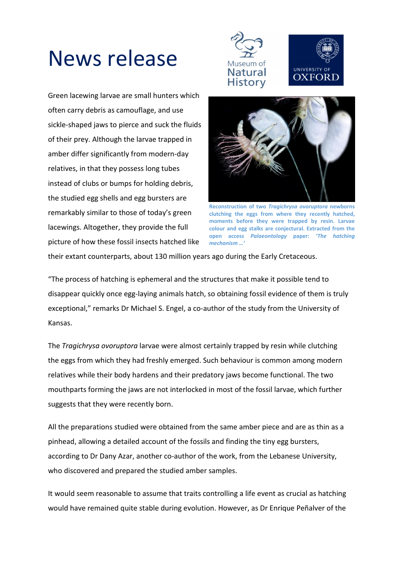# News release





Green lacewing larvae are small hunters which often carry debris as camouflage, and use sickle-shaped jaws to pierce and suck the fluids of their prey. Although the larvae trapped in amber differ significantly from modern-day relatives, in that they possess long tubes instead of clubs or bumps for holding debris, the studied egg shells and egg bursters are remarkably similar to those of today's green lacewings. Altogether, they provide the full picture of how these fossil insects hatched like



**Reconstruction of two** *Tragichrysa ovoruptora* **newborns clutching the eggs from where they recently hatched, moments before they were trapped by resin. Larvae colour and egg stalks are conjectural. Extracted from the open access** *Palaeontology* **paper: '***The hatching mechanism …'*

their extant counterparts, about 130 million years ago during the Early Cretaceous.

"The process of hatching is ephemeral and the structures that make it possible tend to disappear quickly once egg-laying animals hatch, so obtaining fossil evidence of them is truly exceptional," remarks Dr Michael S. Engel, a co-author of the study from the University of Kansas.

The *Tragichrysa ovoruptora* larvae were almost certainly trapped by resin while clutching the eggs from which they had freshly emerged. Such behaviour is common among modern relatives while their body hardens and their predatory jaws become functional. The two mouthparts forming the jaws are not interlocked in most of the fossil larvae, which further suggests that they were recently born.

All the preparations studied were obtained from the same amber piece and are as thin as a pinhead, allowing a detailed account of the fossils and finding the tiny egg bursters, according to Dr Dany Azar, another co-author of the work, from the Lebanese University, who discovered and prepared the studied amber samples.

It would seem reasonable to assume that traits controlling a life event as crucial as hatching would have remained quite stable during evolution. However, as Dr Enrique Peñalver of the